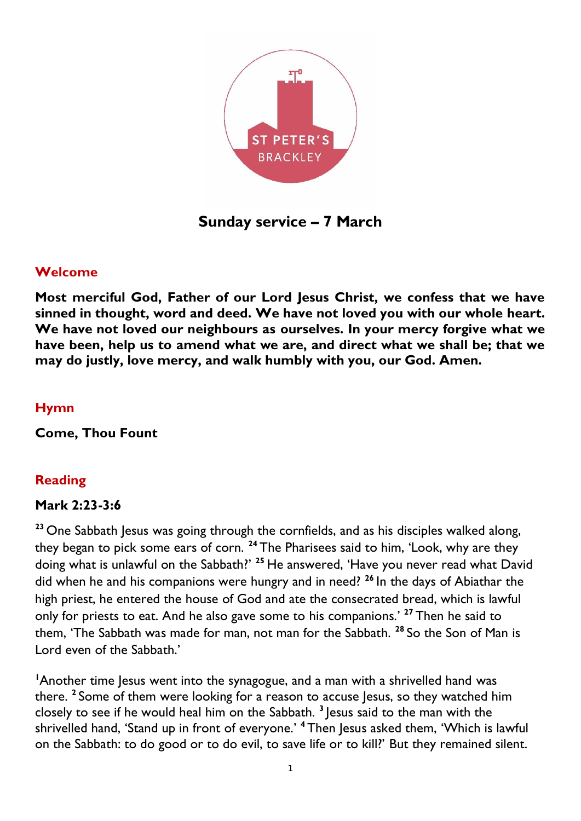

**Sunday service – 7 March**

#### **Welcome**

**Most merciful God, Father of our Lord Jesus Christ, we confess that we have sinned in thought, word and deed. We have not loved you with our whole heart. We have not loved our neighbours as ourselves. In your mercy forgive what we have been, help us to amend what we are, and direct what we shall be; that we may do justly, love mercy, and walk humbly with you, our God. Amen.**

#### **Hymn**

**Come, Thou Fount**

### **Reading**

#### **Mark 2:23-3:6**

**<sup>23</sup>** One Sabbath Jesus was going through the cornfields, and as his disciples walked along, they began to pick some ears of corn. **<sup>24</sup>** The Pharisees said to him, 'Look, why are they doing what is unlawful on the Sabbath?' **<sup>25</sup>** He answered, 'Have you never read what David did when he and his companions were hungry and in need? **<sup>26</sup>** In the days of Abiathar the high priest, he entered the house of God and ate the consecrated bread, which is lawful only for priests to eat. And he also gave some to his companions.' **<sup>27</sup>** Then he said to them, 'The Sabbath was made for man, not man for the Sabbath. **<sup>28</sup>** So the Son of Man is Lord even of the Sabbath.'

<sup>1</sup>Another time Jesus went into the synagogue, and a man with a shrivelled hand was there. **<sup>2</sup>** Some of them were looking for a reason to accuse Jesus, so they watched him closely to see if he would heal him on the Sabbath. **<sup>3</sup>** Jesus said to the man with the shrivelled hand, 'Stand up in front of everyone.' <sup>4</sup> Then Jesus asked them, 'Which is lawful on the Sabbath: to do good or to do evil, to save life or to kill?' But they remained silent.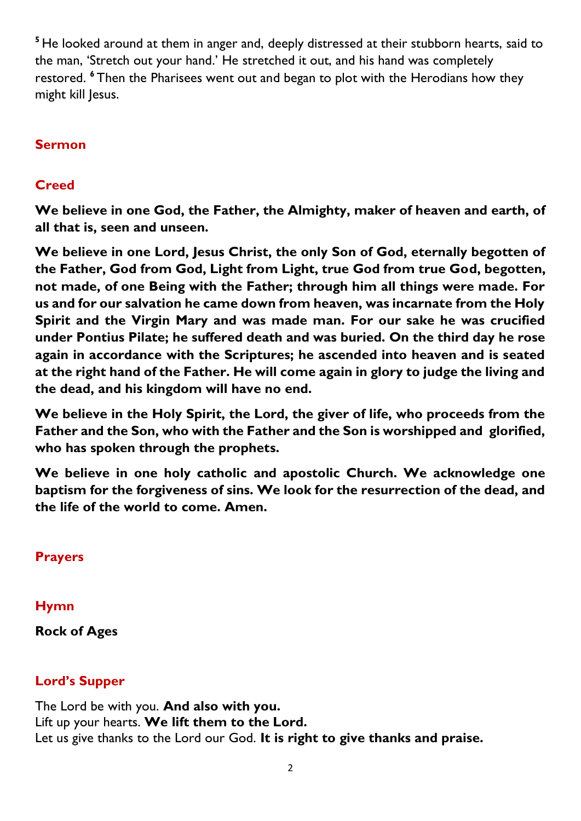<sup>5</sup> He looked around at them in anger and, deeply distressed at their stubborn hearts, said to the man, 'Stretch out your hand.' He stretched it out, and his hand was completely restored. **<sup>6</sup>** Then the Pharisees went out and began to plot with the Herodians how they might kill Jesus.

## **Sermon**

## **Creed**

**We believe in one God, the Father, the Almighty, maker of heaven and earth, of all that is, seen and unseen.** 

**We believe in one Lord, Jesus Christ, the only Son of God, eternally begotten of the Father, God from God, Light from Light, true God from true God, begotten, not made, of one Being with the Father; through him all things were made. For us and for our salvation he came down from heaven, was incarnate from the Holy Spirit and the Virgin Mary and was made man. For our sake he was crucified under Pontius Pilate; he suffered death and was buried. On the third day he rose again in accordance with the Scriptures; he ascended into heaven and is seated at the right hand of the Father. He will come again in glory to judge the living and the dead, and his kingdom will have no end.**

**We believe in the Holy Spirit, the Lord, the giver of life, who proceeds from the Father and the Son, who with the Father and the Son is worshipped and glorified, who has spoken through the prophets.** 

**We believe in one holy catholic and apostolic Church. We acknowledge one baptism for the forgiveness of sins. We look for the resurrection of the dead, and the life of the world to come. Amen.**

### **Prayers**

**Hymn**

### **Rock of Ages**

# **Lord's Supper**

The Lord be with you. **And also with you.** Lift up your hearts. **We lift them to the Lord.** Let us give thanks to the Lord our God. **It is right to give thanks and praise.**